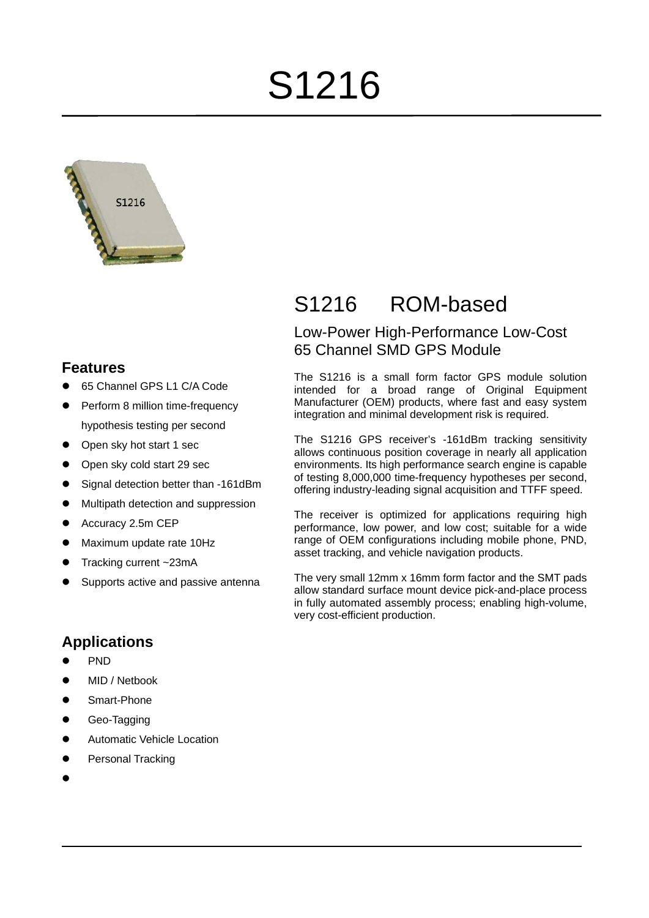# S1216



# **Features**

- 65 Channel GPS L1 C/A Code
- Perform 8 million time-frequency hypothesis testing per second
- Open sky hot start 1 sec
- Open sky cold start 29 sec
- Signal detection better than -161dBm
- Multipath detection and suppression
- Accuracy 2.5m CEP
- Maximum update rate 10Hz
- Tracking current ~23mA
- Supports active and passive antenna

# **Applications**

- PN<sub>D</sub>
- MID / Netbook
- Smart-Phone
- Geo-Tagging
- Automatic Vehicle Location
- Personal Tracking
- $\bullet$

# S1216 ROM-based

# Low-Power High-Performance Low-Cost 65 Channel SMD GPS Module

The S1216 is a small form factor GPS module solution intended for a broad range of Original Equipment Manufacturer (OEM) products, where fast and easy system integration and minimal development risk is required.

The S1216 GPS receiver's -161dBm tracking sensitivity allows continuous position coverage in nearly all application environments. Its high performance search engine is capable of testing 8,000,000 time-frequency hypotheses per second, offering industry-leading signal acquisition and TTFF speed.

The receiver is optimized for applications requiring high performance, low power, and low cost; suitable for a wide range of OEM configurations including mobile phone, PND, asset tracking, and vehicle navigation products.

The very small 12mm x 16mm form factor and the SMT pads allow standard surface mount device pick-and-place process in fully automated assembly process; enabling high-volume, very cost-efficient production.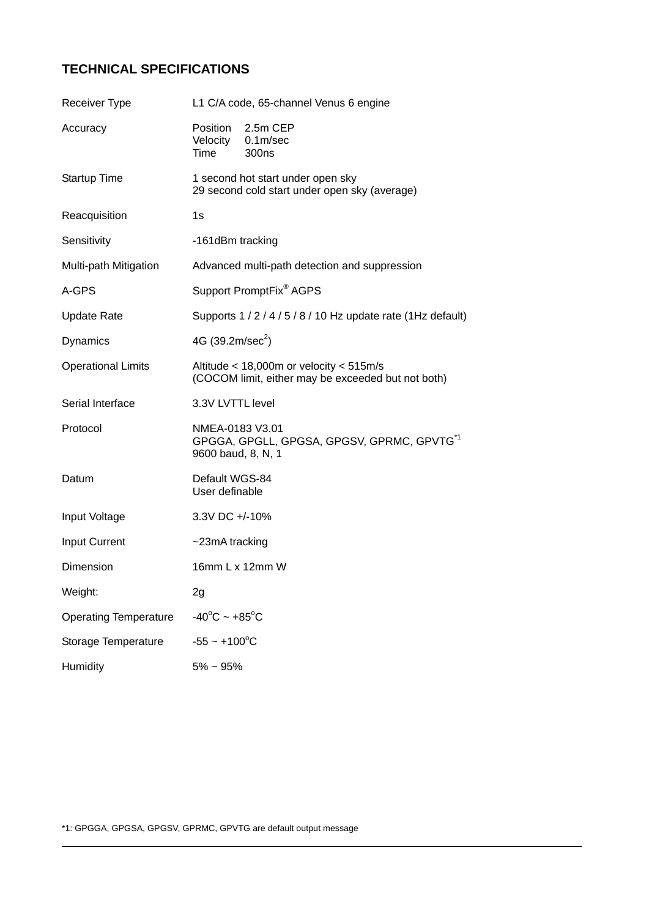# **TECHNICAL SPECIFICATIONS**

| <b>Receiver Type</b>         | L1 C/A code, 65-channel Venus 6 engine                                                            |  |  |
|------------------------------|---------------------------------------------------------------------------------------------------|--|--|
| Accuracy                     | Position<br>2.5m CEP<br>Velocity<br>0.1 <sub>m</sub> /sec<br>Time<br>300 <sub>ns</sub>            |  |  |
| <b>Startup Time</b>          | 1 second hot start under open sky<br>29 second cold start under open sky (average)                |  |  |
| Reacquisition                | 1s                                                                                                |  |  |
| Sensitivity                  | -161dBm tracking                                                                                  |  |  |
| Multi-path Mitigation        | Advanced multi-path detection and suppression                                                     |  |  |
| A-GPS                        | Support PromptFix <sup>®</sup> AGPS                                                               |  |  |
| <b>Update Rate</b>           | Supports 1 / 2 / 4 / 5 / 8 / 10 Hz update rate (1Hz default)                                      |  |  |
| <b>Dynamics</b>              | 4G $(39.2m/sec2)$                                                                                 |  |  |
| <b>Operational Limits</b>    | Altitude $<$ 18,000m or velocity $<$ 515m/s<br>(COCOM limit, either may be exceeded but not both) |  |  |
| Serial Interface             | 3.3V LVTTL level                                                                                  |  |  |
| Protocol                     | NMEA-0183 V3.01<br>GPGGA, GPGLL, GPGSA, GPGSV, GPRMC, GPVTG <sup>*1</sup><br>9600 baud, 8, N, 1   |  |  |
| Datum                        | Default WGS-84<br>User definable                                                                  |  |  |
| Input Voltage                | 3.3V DC +/-10%                                                                                    |  |  |
| Input Current                | $\sim$ 23mA tracking                                                                              |  |  |
| Dimension                    | 16mm L x 12mm W                                                                                   |  |  |
| Weight:                      | 2g                                                                                                |  |  |
| <b>Operating Temperature</b> | $-40^{\circ}$ C ~ +85 $^{\circ}$ C                                                                |  |  |
| Storage Temperature          | $-55 - +100^{\circ}C$                                                                             |  |  |
| Humidity                     | $5\% \sim 95\%$                                                                                   |  |  |

\*1: GPGGA, GPGSA, GPGSV, GPRMC, GPVTG are default output message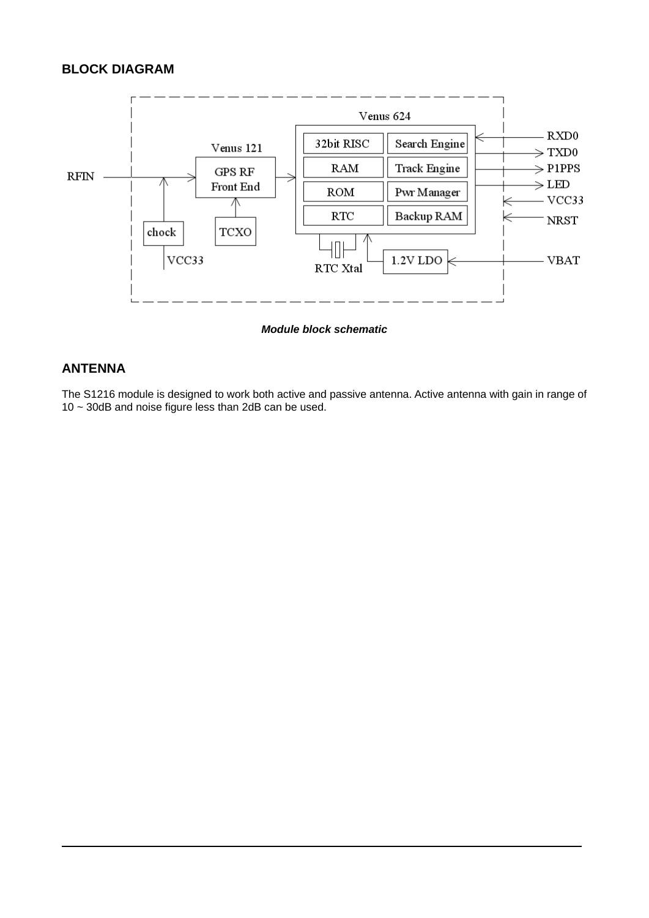## **BLOCK DIAGRAM**



*Module block schematic* 

#### **ANTENNA**

The S1216 module is designed to work both active and passive antenna. Active antenna with gain in range of 10 ~ 30dB and noise figure less than 2dB can be used.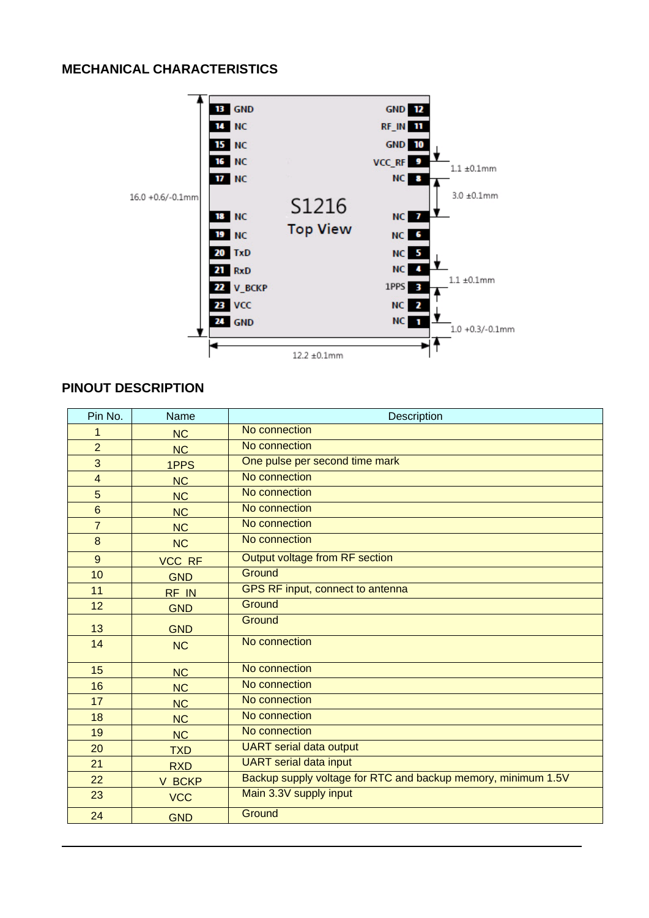## **MECHANICAL CHARACTERISTICS**



#### **PINOUT DESCRIPTION**

| Pin No.                 | Name          | <b>Description</b>                                            |  |  |
|-------------------------|---------------|---------------------------------------------------------------|--|--|
| 1                       | <b>NC</b>     | No connection                                                 |  |  |
| $\overline{2}$          | <b>NC</b>     | No connection                                                 |  |  |
| 3                       | 1PPS          | One pulse per second time mark                                |  |  |
| $\overline{\mathbf{4}}$ | <b>NC</b>     | No connection                                                 |  |  |
| 5                       | <b>NC</b>     | No connection                                                 |  |  |
| $6\phantom{1}$          | <b>NC</b>     | No connection                                                 |  |  |
| $\overline{7}$          | <b>NC</b>     | No connection                                                 |  |  |
| 8                       | <b>NC</b>     | No connection                                                 |  |  |
| 9                       | <b>VCC RF</b> | Output voltage from RF section                                |  |  |
| 10                      | <b>GND</b>    | Ground                                                        |  |  |
| 11                      | RF IN         | GPS RF input, connect to antenna                              |  |  |
| 12                      | <b>GND</b>    | Ground                                                        |  |  |
| 13                      | <b>GND</b>    | Ground                                                        |  |  |
| 14                      | <b>NC</b>     | No connection                                                 |  |  |
| 15                      | <b>NC</b>     | No connection                                                 |  |  |
| 16                      | <b>NC</b>     | No connection                                                 |  |  |
| 17                      | <b>NC</b>     | No connection                                                 |  |  |
| 18                      | <b>NC</b>     | No connection                                                 |  |  |
| 19                      | <b>NC</b>     | No connection                                                 |  |  |
| 20                      | <b>TXD</b>    | <b>UART</b> serial data output                                |  |  |
| 21                      | <b>RXD</b>    | <b>UART</b> serial data input                                 |  |  |
| 22                      | V BCKP        | Backup supply voltage for RTC and backup memory, minimum 1.5V |  |  |
| 23                      | <b>VCC</b>    | Main 3.3V supply input                                        |  |  |
| 24                      | <b>GND</b>    | Ground                                                        |  |  |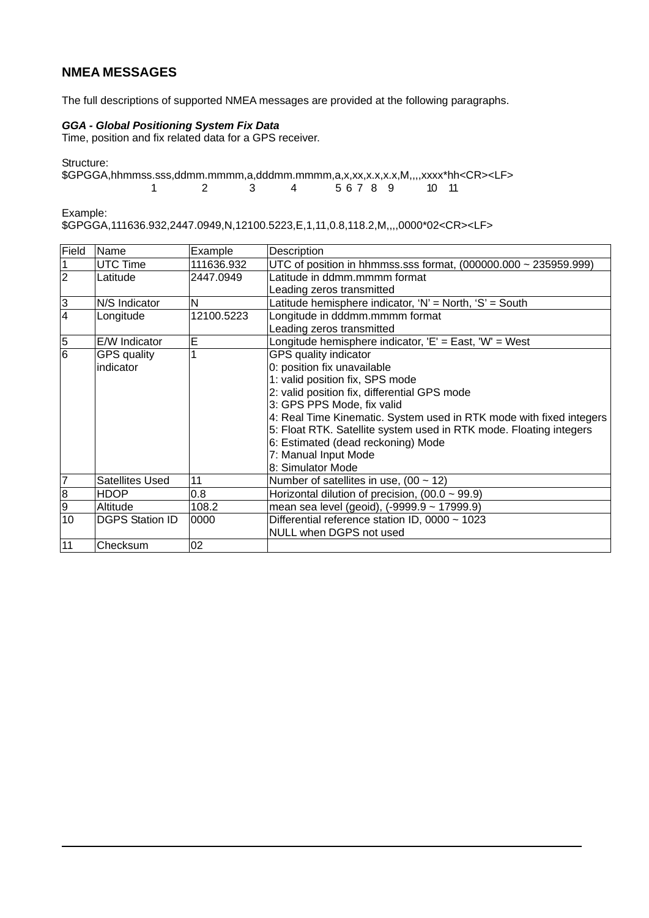#### **NMEA MESSAGES**

The full descriptions of supported NMEA messages are provided at the following paragraphs.

#### *GGA - Global Positioning System Fix Data*

Time, position and fix related data for a GPS receiver.

Structure:

 $$GPGGA, hhmmss. sss, ddmm.mmmm, a, dddmm.mmmm, a, x, x, x, x, x, x, M, ..., x, x, x + h < CR > LFS$ <br>1 2 3 4 5 6 7 8 9 10 11  $56789$ 

Example:

\$GPGGA,111636.932,2447.0949,N,12100.5223,E,1,11,0.8,118.2,M,,,,0000\*02<CR><LF>

| Field          | Name                   | Example    | Description                                                          |  |
|----------------|------------------------|------------|----------------------------------------------------------------------|--|
|                | UTC Time               | 111636.932 | UTC of position in hhmmss.sss format, $(000000.000 \sim 235959.999)$ |  |
| $\overline{2}$ | Latitude               | 2447.0949  | Latitude in ddmm.mmmm format                                         |  |
|                |                        |            | Leading zeros transmitted                                            |  |
| 3              | N/S Indicator          | N          | Latitude hemisphere indicator, 'N' = North, 'S' = South              |  |
| $\overline{4}$ | Longitude              | 12100.5223 | Longitude in dddmm.mmmm format                                       |  |
|                |                        |            | Leading zeros transmitted                                            |  |
| 5              | E/W Indicator          | E          | Longitude hemisphere indicator, 'E' = East, 'W' = West               |  |
| $\overline{6}$ | <b>GPS</b> quality     |            | GPS quality indicator                                                |  |
|                | indicator              |            | 0: position fix unavailable                                          |  |
|                |                        |            | 1: valid position fix, SPS mode                                      |  |
|                |                        |            | 2: valid position fix, differential GPS mode                         |  |
|                |                        |            | 3: GPS PPS Mode, fix valid                                           |  |
|                |                        |            | 4: Real Time Kinematic. System used in RTK mode with fixed integers  |  |
|                |                        |            | 5: Float RTK. Satellite system used in RTK mode. Floating integers   |  |
|                |                        |            | 6: Estimated (dead reckoning) Mode                                   |  |
|                |                        |            | 7: Manual Input Mode                                                 |  |
|                |                        |            | 8: Simulator Mode                                                    |  |
| 7              | <b>Satellites Used</b> | 11         | Number of satellites in use, $(00 \sim 12)$                          |  |
| 8              | <b>HDOP</b>            | 0.8        | Horizontal dilution of precision, $(00.0 \sim 99.9)$                 |  |
| 9              | Altitude               | 108.2      | mean sea level (geoid), (-9999.9 ~ 17999.9)                          |  |
| 10             | <b>DGPS Station ID</b> | 0000       | Differential reference station ID, 0000 ~ 1023                       |  |
|                |                        |            | <b>NULL when DGPS not used</b>                                       |  |
| 11             | Checksum               | 02         |                                                                      |  |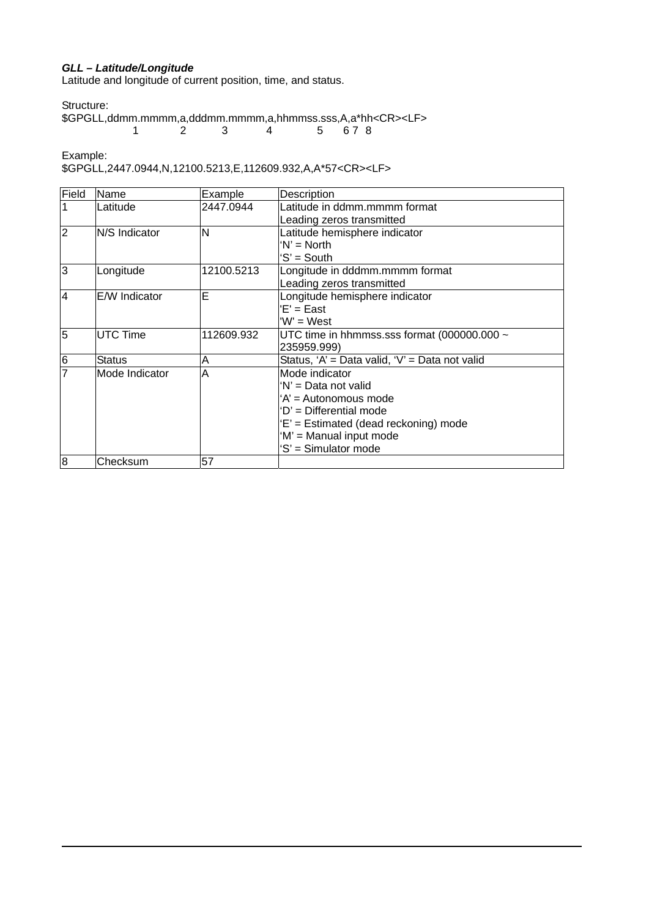#### *GLL – Latitude/Longitude*

Latitude and longitude of current position, time, and status.

Structure:

\$GPGLL,ddmm.mmmm,a,dddmm.mmmm,a,hhmmss.sss,A,a\*hh<CR><LF> 1 2 3 4 5 6 7 8

Example:

\$GPGLL,2447.0944,N,12100.5213,E,112609.932,A,A\*57<CR><LF>

| Field           | Name                 | Example    | Description                                    |
|-----------------|----------------------|------------|------------------------------------------------|
| 1               | Latitude             | 2447.0944  | Latitude in ddmm.mmmm format                   |
|                 |                      |            | Leading zeros transmitted                      |
| $\overline{2}$  | <b>N/S</b> Indicator | N          | Latitude hemisphere indicator                  |
|                 |                      |            | 'N' = North                                    |
|                 |                      |            | 'S' = South                                    |
| င               | Longitude            | 12100.5213 | Longitude in dddmm.mmmm format                 |
|                 |                      |            | Leading zeros transmitted                      |
| $\overline{4}$  | E/W Indicator        | E          | Longitude hemisphere indicator                 |
|                 |                      |            | 'E' = East                                     |
|                 |                      |            | 'W' = West                                     |
| $\overline{5}$  | <b>UTC Time</b>      | 112609.932 | UTC time in hhmmss.sss format (000000.000 ~    |
|                 |                      |            | 235959.999)                                    |
| $6\phantom{.}6$ | <b>Status</b>        | Α          | Status, 'A' = Data valid, 'V' = Data not valid |
| $\overline{7}$  | Mode Indicator       | A          | Mode indicator                                 |
|                 |                      |            | 'N' = Data not valid                           |
|                 |                      |            | 'A' = Autonomous mode                          |
|                 |                      |            | 'D' = Differential mode                        |
|                 |                      |            | 'E' = Estimated (dead reckoning) mode          |
|                 |                      |            | 'M' = Manual input mode                        |
|                 |                      |            | 'S' = Simulator mode                           |
| $\overline{8}$  | Checksum             | 57         |                                                |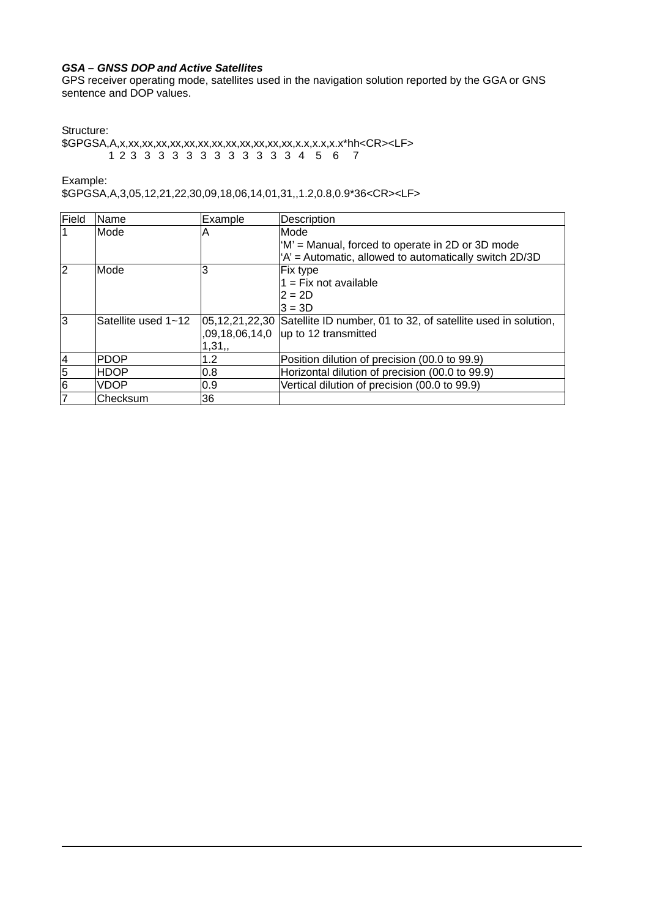#### *GSA – GNSS DOP and Active Satellites*

GPS receiver operating mode, satellites used in the navigation solution reported by the GGA or GNS sentence and DOP values.

Structure:

\$GPGSA,A,x,xx,xx,xx,xx,xx,xx,xx,xx,xx,xx,xx,xx,x.x,x.x,x.x\*hh<CR><LF> 1 2 3 3 3 3 3 3 3 3 3 3 3 3 4 5 6 7

Example:

\$GPGSA,A,3,05,12,21,22,30,09,18,06,14,01,31,,1.2,0.8,0.9\*36<CR><LF>

| Field                   | Name                | Example | Description                                                                  |
|-------------------------|---------------------|---------|------------------------------------------------------------------------------|
| $\overline{\mathbf{1}}$ | Mode                | Α       | Mode                                                                         |
|                         |                     |         | 'M' = Manual, forced to operate in 2D or 3D mode                             |
|                         |                     |         | 'A' = Automatic, allowed to automatically switch 2D/3D                       |
| 2                       | Mode                | 3       | Fix type                                                                     |
|                         |                     |         | $1 = Fix not available$                                                      |
|                         |                     |         | $2 = 2D$                                                                     |
|                         |                     |         | $3 = 3D$                                                                     |
| 3                       | Satellite used 1~12 |         | 05,12,21,22,30 Satellite ID number, 01 to 32, of satellite used in solution, |
|                         |                     |         | $0.09, 18, 06, 14, 0$ up to 12 transmitted                                   |
|                         |                     | 1,31,   |                                                                              |
| $\overline{4}$          | <b>PDOP</b>         | 1.2     | Position dilution of precision (00.0 to 99.9)                                |
| $5\overline{6}$         | <b>HDOP</b>         | 0.8     | Horizontal dilution of precision (00.0 to 99.9)                              |
| 6                       | VDOP                | 0.9     | Vertical dilution of precision (00.0 to 99.9)                                |
| 7                       | Checksum            | 36      |                                                                              |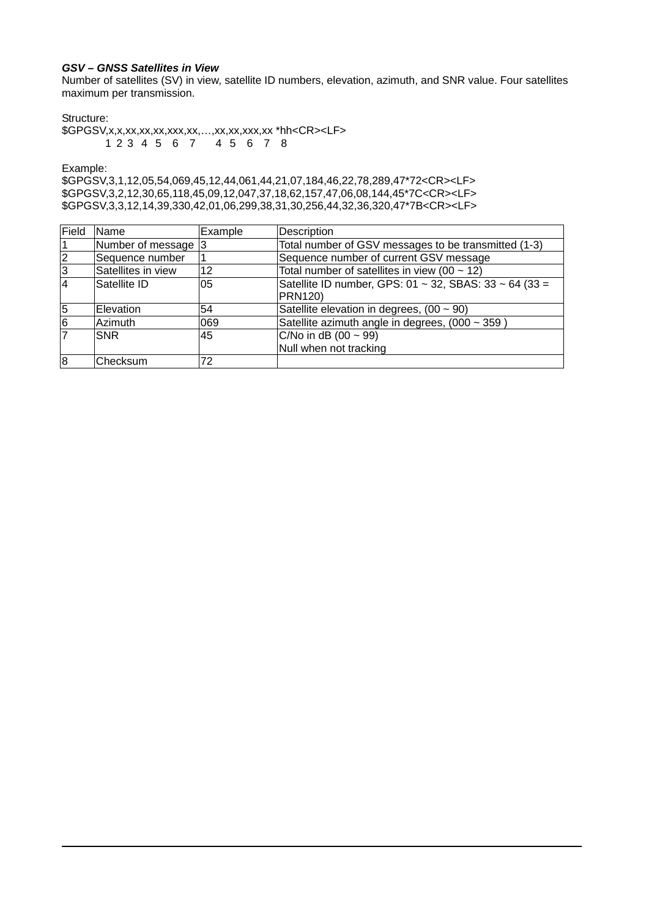#### *GSV – GNSS Satellites in View*

Number of satellites (SV) in view, satellite ID numbers, elevation, azimuth, and SNR value. Four satellites maximum per transmission.

#### Structure:

\$GPGSV,x,x,xx,xx,xx,xxx,xx,…,xx,xx,xxx,xx \*hh<CR><LF> 1 2 3 4 5 6 7 4 5 6 7 8

Example:

\$GPGSV,3,1,12,05,54,069,45,12,44,061,44,21,07,184,46,22,78,289,47\*72<CR><LF> \$GPGSV,3,2,12,30,65,118,45,09,12,047,37,18,62,157,47,06,08,144,45\*7C<CR><LF> \$GPGSV,3,3,12,14,39,330,42,01,06,299,38,31,30,256,44,32,36,320,47\*7B<CR><LF>

| Field         | <b>Name</b>        | Example | Description                                                              |
|---------------|--------------------|---------|--------------------------------------------------------------------------|
| 11            | Number of message  |         | Total number of GSV messages to be transmitted (1-3)                     |
| $\frac{2}{3}$ | Sequence number    |         | Sequence number of current GSV message                                   |
|               | Satellites in view | 12      | Total number of satellites in view (00 $\sim$ 12)                        |
| I4            | Satellite ID       | 05      | Satellite ID number, GPS: 01 ~ 32, SBAS: 33 ~ 64 (33 =<br><b>PRN120)</b> |
| $\sqrt{5}$    | Elevation          | 54      | Satellite elevation in degrees, $(00 \sim 90)$                           |
| 6             | Azimuth            | 069     | Satellite azimuth angle in degrees, (000 ~ 359)                          |
| 17            | <b>SNR</b>         | 45      | $C/No$ in dB (00 ~ 99)<br>Null when not tracking                         |
| 8             | Checksum           | 72      |                                                                          |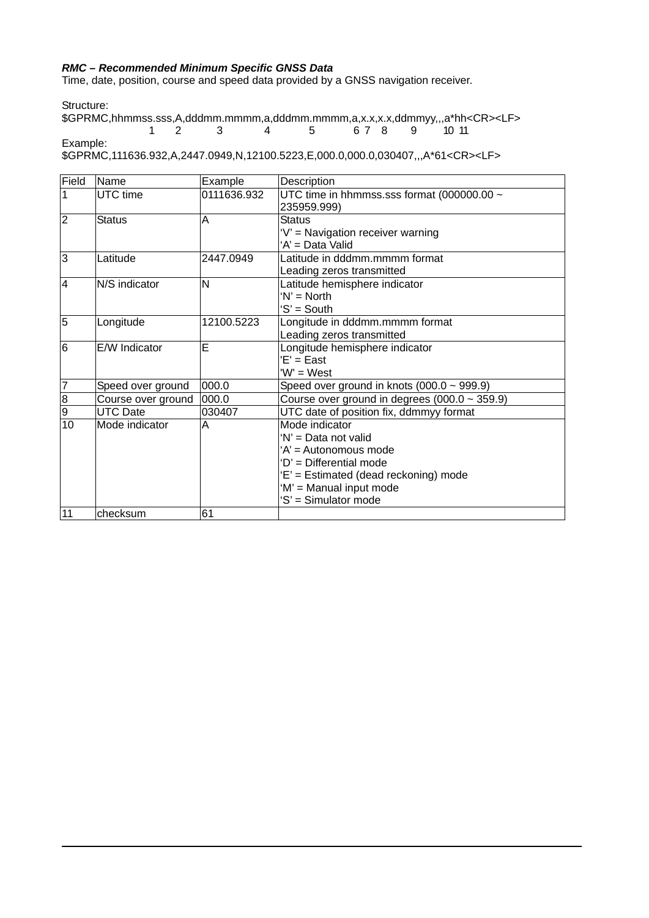#### *RMC – Recommended Minimum Specific GNSS Data*

Time, date, position, course and speed data provided by a GNSS navigation receiver.

Structure:

\$GPRMC,hhmmss.sss,A,dddmm.mmmm,a,dddmm.mmmm,a,x.x,x.x,ddmmyy,,,a\*hh<CR><LF><br>
1 2 3 4 5 6 7 8 9 10 11 1 2 3 4 5 6 7 8 9 10 11 Example:

\$GPRMC,111636.932,A,2447.0949,N,12100.5223,E,000.0,000.0,030407,,,A\*61<CR><LF>

| Field           | Name               | Example     | Description                                        |
|-----------------|--------------------|-------------|----------------------------------------------------|
| 1               | UTC time           | 0111636.932 | UTC time in hhmmss.sss format (000000.00 ~         |
|                 |                    |             | 235959.999)                                        |
| $\overline{2}$  | <b>Status</b>      | Α           | <b>Status</b>                                      |
|                 |                    |             | 'V' = Navigation receiver warning                  |
|                 |                    |             | 'A' = Data Valid                                   |
| ادی             | Latitude           | 2447.0949   | Latitude in dddmm.mmmm format                      |
|                 |                    |             | Leading zeros transmitted                          |
| $\overline{4}$  | N/S indicator      | N           | Latitude hemisphere indicator                      |
|                 |                    |             | $W = North$                                        |
|                 |                    |             | 'S' = South                                        |
| $\overline{5}$  | Longitude          | 12100.5223  | Longitude in dddmm.mmmm format                     |
|                 |                    |             | Leading zeros transmitted                          |
| $\overline{6}$  | E/W Indicator      | Ē           | Longitude hemisphere indicator                     |
|                 |                    |             | $E' = East$                                        |
|                 |                    |             | 'W' = West                                         |
| 7               | Speed over ground  | 000.0       | Speed over ground in knots $(000.0 \sim 999.9)$    |
| $\overline{8}$  | Course over ground | 000.0       | Course over ground in degrees $(000.0 \sim 359.9)$ |
| 6               | <b>UTC Date</b>    | 030407      | UTC date of position fix, ddmmyy format            |
| $\overline{10}$ | Mode indicator     | A           | Mode indicator                                     |
|                 |                    |             | 'N' = Data not valid                               |
|                 |                    |             | 'A' = Autonomous mode                              |
|                 |                    |             | 'D' = Differential mode                            |
|                 |                    |             | 'E' = Estimated (dead reckoning) mode              |
|                 |                    |             | 'M' = Manual input mode                            |
|                 |                    |             | 'S' = Simulator mode                               |
| 11              | checksum           | 61          |                                                    |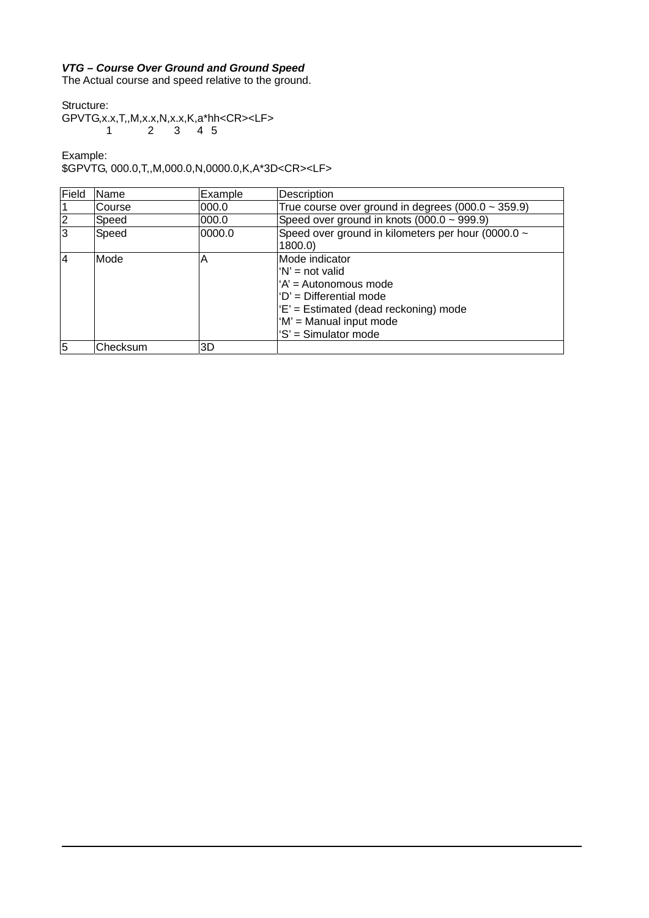#### *VTG – Course Over Ground and Ground Speed*

The Actual course and speed relative to the ground.

Structure:

GPVTG,x.x,T,,M,x.x,N,x.x,K,a\*hh<CR><LF>  $1$   $2$   $3$   $4$  5

Example:

\$GPVTG, 000.0,T,,M,000.0,N,0000.0,K,A\*3D<CR><LF>

| Field | Name     | Example | Description                                                                                                                                                                           |
|-------|----------|---------|---------------------------------------------------------------------------------------------------------------------------------------------------------------------------------------|
|       | Course   | 000.0   | True course over ground in degrees $(000.0 \sim 359.9)$                                                                                                                               |
|       | Speed    | 000.0   | Speed over ground in knots (000.0 ~ 999.9)                                                                                                                                            |
|       | Speed    | 0000.0  | Speed over ground in kilometers per hour (0000.0 ~<br>1800.0)                                                                                                                         |
|       | Mode     | А       | lMode indicator<br>$'N'$ = not valid<br>'A' = Autonomous mode<br>$D' =$ Differential mode<br>'E' = Estimated (dead reckoning) mode<br>'M' = Manual input mode<br>'S' = Simulator mode |
|       | Checksum | 3D      |                                                                                                                                                                                       |